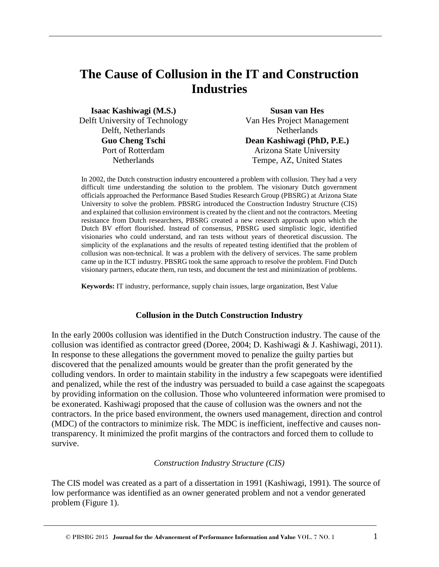# **The Cause of Collusion in the IT and Construction Industries**

**Isaac Kashiwagi (M.S.)** Delft University of Technology Delft, Netherlands **Guo Cheng Tschi** Port of Rotterdam **Netherlands** 

**Susan van Hes** Van Hes Project Management **Netherlands Dean Kashiwagi (PhD, P.E.)**  Arizona State University Tempe, AZ, United States

In 2002, the Dutch construction industry encountered a problem with collusion. They had a very difficult time understanding the solution to the problem. The visionary Dutch government officials approached the Performance Based Studies Research Group (PBSRG) at Arizona State University to solve the problem. PBSRG introduced the Construction Industry Structure (CIS) and explained that collusion environment is created by the client and not the contractors. Meeting resistance from Dutch researchers, PBSRG created a new research approach upon which the Dutch BV effort flourished. Instead of consensus, PBSRG used simplistic logic, identified visionaries who could understand, and ran tests without years of theoretical discussion. The simplicity of the explanations and the results of repeated testing identified that the problem of collusion was non-technical. It was a problem with the delivery of services. The same problem came up in the ICT industry. PBSRG took the same approach to resolve the problem. Find Dutch visionary partners, educate them, run tests, and document the test and minimization of problems.

**Keywords:** IT industry, performance, supply chain issues, large organization, Best Value

#### **Collusion in the Dutch Construction Industry**

In the early 2000s collusion was identified in the Dutch Construction industry. The cause of the collusion was identified as contractor greed (Doree, 2004; D. Kashiwagi & J. Kashiwagi, 2011). In response to these allegations the government moved to penalize the guilty parties but discovered that the penalized amounts would be greater than the profit generated by the colluding vendors. In order to maintain stability in the industry a few scapegoats were identified and penalized, while the rest of the industry was persuaded to build a case against the scapegoats by providing information on the collusion. Those who volunteered information were promised to be exonerated. Kashiwagi proposed that the cause of collusion was the owners and not the contractors. In the price based environment, the owners used management, direction and control (MDC) of the contractors to minimize risk. The MDC is inefficient, ineffective and causes nontransparency. It minimized the profit margins of the contractors and forced them to collude to survive.

#### *Construction Industry Structure (CIS)*

The CIS model was created as a part of a dissertation in 1991 (Kashiwagi, 1991). The source of low performance was identified as an owner generated problem and not a vendor generated problem (Figure 1).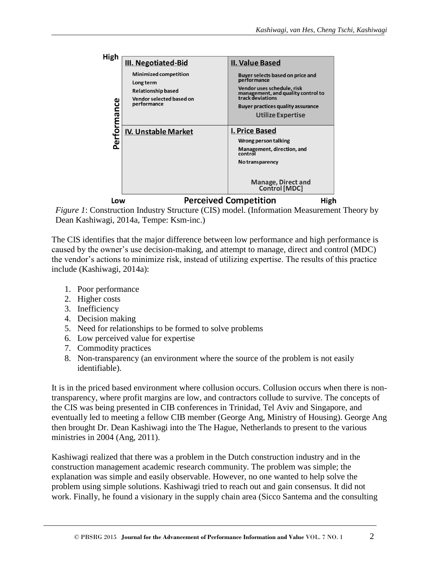

*Figure 1*: Construction Industry Structure (CIS) model. (Information Measurement Theory by Dean Kashiwagi, 2014a, Tempe: Ksm-inc.)

The CIS identifies that the major difference between low performance and high performance is caused by the owner's use decision-making, and attempt to manage, direct and control (MDC) the vendor's actions to minimize risk, instead of utilizing expertise. The results of this practice include (Kashiwagi, 2014a):

- 1. Poor performance
- 2. Higher costs
- 3. Inefficiency
- 4. Decision making
- 5. Need for relationships to be formed to solve problems
- 6. Low perceived value for expertise
- 7. Commodity practices
- 8. Non-transparency (an environment where the source of the problem is not easily identifiable).

It is in the priced based environment where collusion occurs. Collusion occurs when there is nontransparency, where profit margins are low, and contractors collude to survive. The concepts of the CIS was being presented in CIB conferences in Trinidad, Tel Aviv and Singapore, and eventually led to meeting a fellow CIB member (George Ang, Ministry of Housing). George Ang then brought Dr. Dean Kashiwagi into the The Hague, Netherlands to present to the various ministries in 2004 (Ang, 2011).

Kashiwagi realized that there was a problem in the Dutch construction industry and in the construction management academic research community. The problem was simple; the explanation was simple and easily observable. However, no one wanted to help solve the problem using simple solutions. Kashiwagi tried to reach out and gain consensus. It did not work. Finally, he found a visionary in the supply chain area (Sicco Santema and the consulting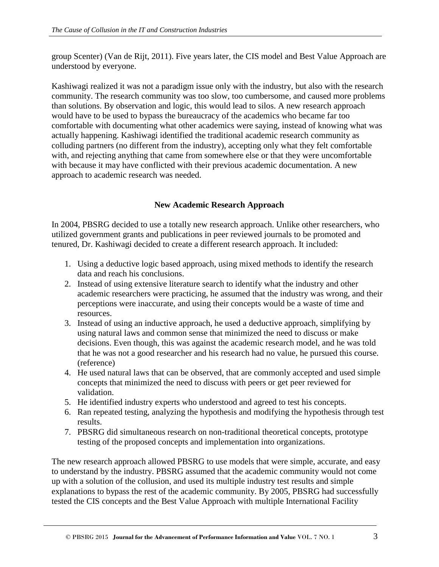group Scenter) (Van de Rijt, 2011). Five years later, the CIS model and Best Value Approach are understood by everyone.

Kashiwagi realized it was not a paradigm issue only with the industry, but also with the research community. The research community was too slow, too cumbersome, and caused more problems than solutions. By observation and logic, this would lead to silos. A new research approach would have to be used to bypass the bureaucracy of the academics who became far too comfortable with documenting what other academics were saying, instead of knowing what was actually happening. Kashiwagi identified the traditional academic research community as colluding partners (no different from the industry), accepting only what they felt comfortable with, and rejecting anything that came from somewhere else or that they were uncomfortable with because it may have conflicted with their previous academic documentation. A new approach to academic research was needed.

### **New Academic Research Approach**

In 2004, PBSRG decided to use a totally new research approach. Unlike other researchers, who utilized government grants and publications in peer reviewed journals to be promoted and tenured, Dr. Kashiwagi decided to create a different research approach. It included:

- 1. Using a deductive logic based approach, using mixed methods to identify the research data and reach his conclusions.
- 2. Instead of using extensive literature search to identify what the industry and other academic researchers were practicing, he assumed that the industry was wrong, and their perceptions were inaccurate, and using their concepts would be a waste of time and resources.
- 3. Instead of using an inductive approach, he used a deductive approach, simplifying by using natural laws and common sense that minimized the need to discuss or make decisions. Even though, this was against the academic research model, and he was told that he was not a good researcher and his research had no value, he pursued this course. (reference)
- 4. He used natural laws that can be observed, that are commonly accepted and used simple concepts that minimized the need to discuss with peers or get peer reviewed for validation.
- 5. He identified industry experts who understood and agreed to test his concepts.
- 6. Ran repeated testing, analyzing the hypothesis and modifying the hypothesis through test results.
- 7. PBSRG did simultaneous research on non-traditional theoretical concepts, prototype testing of the proposed concepts and implementation into organizations.

The new research approach allowed PBSRG to use models that were simple, accurate, and easy to understand by the industry. PBSRG assumed that the academic community would not come up with a solution of the collusion, and used its multiple industry test results and simple explanations to bypass the rest of the academic community. By 2005, PBSRG had successfully tested the CIS concepts and the Best Value Approach with multiple International Facility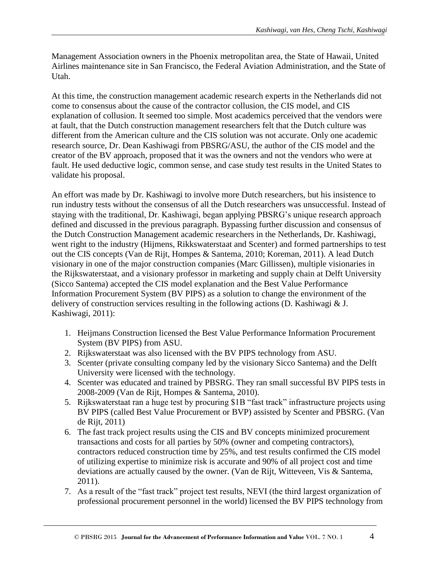Management Association owners in the Phoenix metropolitan area, the State of Hawaii, United Airlines maintenance site in San Francisco, the Federal Aviation Administration, and the State of Utah.

At this time, the construction management academic research experts in the Netherlands did not come to consensus about the cause of the contractor collusion, the CIS model, and CIS explanation of collusion. It seemed too simple. Most academics perceived that the vendors were at fault, that the Dutch construction management researchers felt that the Dutch culture was different from the American culture and the CIS solution was not accurate. Only one academic research source, Dr. Dean Kashiwagi from PBSRG/ASU, the author of the CIS model and the creator of the BV approach, proposed that it was the owners and not the vendors who were at fault. He used deductive logic, common sense, and case study test results in the United States to validate his proposal.

An effort was made by Dr. Kashiwagi to involve more Dutch researchers, but his insistence to run industry tests without the consensus of all the Dutch researchers was unsuccessful. Instead of staying with the traditional, Dr. Kashiwagi, began applying PBSRG's unique research approach defined and discussed in the previous paragraph. Bypassing further discussion and consensus of the Dutch Construction Management academic researchers in the Netherlands, Dr. Kashiwagi, went right to the industry (Hijmens, Rikkswaterstaat and Scenter) and formed partnerships to test out the CIS concepts (Van de Rijt, Hompes & Santema, 2010; Koreman, 2011). A lead Dutch visionary in one of the major construction companies (Marc Gillissen), multiple visionaries in the Rijkswaterstaat, and a visionary professor in marketing and supply chain at Delft University (Sicco Santema) accepted the CIS model explanation and the Best Value Performance Information Procurement System (BV PIPS) as a solution to change the environment of the delivery of construction services resulting in the following actions (D. Kashiwagi & J. Kashiwagi, 2011):

- 1. Heijmans Construction licensed the Best Value Performance Information Procurement System (BV PIPS) from ASU.
- 2. Rijkswaterstaat was also licensed with the BV PIPS technology from ASU.
- 3. Scenter (private consulting company led by the visionary Sicco Santema) and the Delft University were licensed with the technology.
- 4. Scenter was educated and trained by PBSRG. They ran small successful BV PIPS tests in 2008-2009 (Van de Rijt, Hompes & Santema, 2010).
- 5. Rijkswaterstaat ran a huge test by procuring \$1B "fast track" infrastructure projects using BV PIPS (called Best Value Procurement or BVP) assisted by Scenter and PBSRG. (Van de Rijt, 2011)
- 6. The fast track project results using the CIS and BV concepts minimized procurement transactions and costs for all parties by 50% (owner and competing contractors), contractors reduced construction time by 25%, and test results confirmed the CIS model of utilizing expertise to minimize risk is accurate and 90% of all project cost and time deviations are actually caused by the owner. (Van de Rijt, Witteveen, Vis & Santema, 2011).
- 7. As a result of the "fast track" project test results, NEVI (the third largest organization of professional procurement personnel in the world) licensed the BV PIPS technology from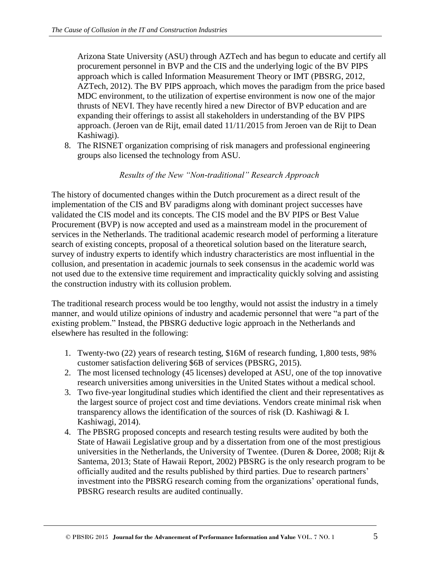Arizona State University (ASU) through AZTech and has begun to educate and certify all procurement personnel in BVP and the CIS and the underlying logic of the BV PIPS approach which is called Information Measurement Theory or IMT (PBSRG, 2012, AZTech, 2012). The BV PIPS approach, which moves the paradigm from the price based MDC environment, to the utilization of expertise environment is now one of the major thrusts of NEVI. They have recently hired a new Director of BVP education and are expanding their offerings to assist all stakeholders in understanding of the BV PIPS approach. (Jeroen van de Rijt, email dated 11/11/2015 from Jeroen van de Rijt to Dean Kashiwagi).

8. The RISNET organization comprising of risk managers and professional engineering groups also licensed the technology from ASU.

#### *Results of the New "Non-traditional" Research Approach*

The history of documented changes within the Dutch procurement as a direct result of the implementation of the CIS and BV paradigms along with dominant project successes have validated the CIS model and its concepts. The CIS model and the BV PIPS or Best Value Procurement (BVP) is now accepted and used as a mainstream model in the procurement of services in the Netherlands. The traditional academic research model of performing a literature search of existing concepts, proposal of a theoretical solution based on the literature search, survey of industry experts to identify which industry characteristics are most influential in the collusion, and presentation in academic journals to seek consensus in the academic world was not used due to the extensive time requirement and impracticality quickly solving and assisting the construction industry with its collusion problem.

The traditional research process would be too lengthy, would not assist the industry in a timely manner, and would utilize opinions of industry and academic personnel that were "a part of the existing problem." Instead, the PBSRG deductive logic approach in the Netherlands and elsewhere has resulted in the following:

- 1. Twenty-two (22) years of research testing, \$16M of research funding, 1,800 tests, 98% customer satisfaction delivering \$6B of services (PBSRG, 2015).
- 2. The most licensed technology (45 licenses) developed at ASU, one of the top innovative research universities among universities in the United States without a medical school.
- 3. Two five-year longitudinal studies which identified the client and their representatives as the largest source of project cost and time deviations. Vendors create minimal risk when transparency allows the identification of the sources of risk (D. Kashiwagi & I. Kashiwagi, 2014).
- 4. The PBSRG proposed concepts and research testing results were audited by both the State of Hawaii Legislative group and by a dissertation from one of the most prestigious universities in the Netherlands, the University of Twentee. (Duren & Doree, 2008; Rijt & Santema, 2013; State of Hawaii Report, 2002) PBSRG is the only research program to be officially audited and the results published by third parties. Due to research partners' investment into the PBSRG research coming from the organizations' operational funds, PBSRG research results are audited continually.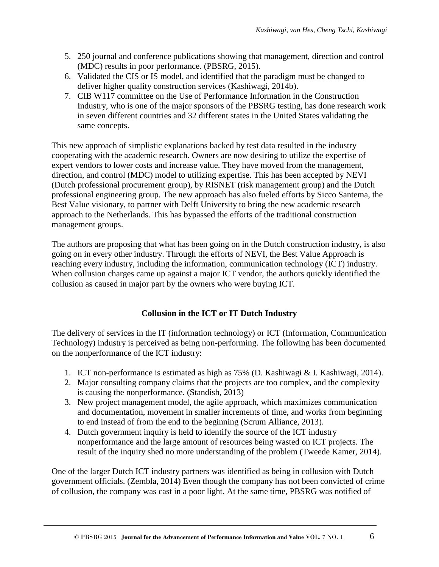- 5. 250 journal and conference publications showing that management, direction and control (MDC) results in poor performance. (PBSRG, 2015).
- 6. Validated the CIS or IS model, and identified that the paradigm must be changed to deliver higher quality construction services (Kashiwagi, 2014b).
- 7. CIB W117 committee on the Use of Performance Information in the Construction Industry, who is one of the major sponsors of the PBSRG testing, has done research work in seven different countries and 32 different states in the United States validating the same concepts.

This new approach of simplistic explanations backed by test data resulted in the industry cooperating with the academic research. Owners are now desiring to utilize the expertise of expert vendors to lower costs and increase value. They have moved from the management, direction, and control (MDC) model to utilizing expertise. This has been accepted by NEVI (Dutch professional procurement group), by RISNET (risk management group) and the Dutch professional engineering group. The new approach has also fueled efforts by Sicco Santema, the Best Value visionary, to partner with Delft University to bring the new academic research approach to the Netherlands. This has bypassed the efforts of the traditional construction management groups.

The authors are proposing that what has been going on in the Dutch construction industry, is also going on in every other industry. Through the efforts of NEVI, the Best Value Approach is reaching every industry, including the information, communication technology (ICT) industry. When collusion charges came up against a major ICT vendor, the authors quickly identified the collusion as caused in major part by the owners who were buying ICT.

# **Collusion in the ICT or IT Dutch Industry**

The delivery of services in the IT (information technology) or ICT (Information, Communication Technology) industry is perceived as being non-performing. The following has been documented on the nonperformance of the ICT industry:

- 1. ICT non-performance is estimated as high as 75% (D. Kashiwagi & I. Kashiwagi, 2014).
- 2. Major consulting company claims that the projects are too complex, and the complexity is causing the nonperformance. (Standish, 2013)
- 3. New project management model, the agile approach, which maximizes communication and documentation, movement in smaller increments of time, and works from beginning to end instead of from the end to the beginning (Scrum Alliance, 2013).
- 4. Dutch government inquiry is held to identify the source of the ICT industry nonperformance and the large amount of resources being wasted on ICT projects. The result of the inquiry shed no more understanding of the problem (Tweede Kamer, 2014).

One of the larger Dutch ICT industry partners was identified as being in collusion with Dutch government officials. (Zembla, 2014) Even though the company has not been convicted of crime of collusion, the company was cast in a poor light. At the same time, PBSRG was notified of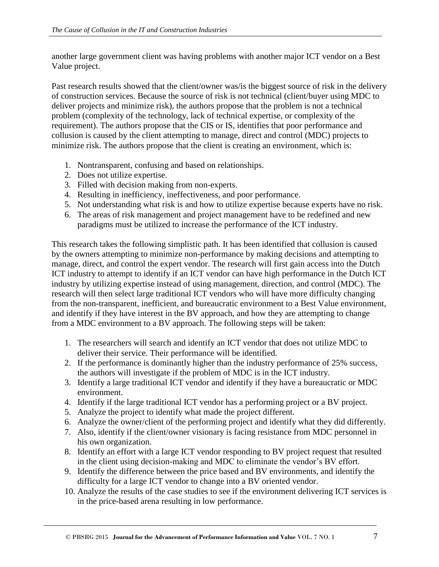another large government client was having problems with another major ICT vendor on a Best Value project.

Past research results showed that the client/owner was/is the biggest source of risk in the delivery of construction services. Because the source of risk is not technical (client/buyer using MDC to deliver projects and minimize risk), the authors propose that the problem is not a technical problem (complexity of the technology, lack of technical expertise, or complexity of the requirement). The authors propose that the CIS or IS, identifies that poor performance and collusion is caused by the client attempting to manage, direct and control (MDC) projects to minimize risk. The authors propose that the client is creating an environment, which is:

- 1. Nontransparent, confusing and based on relationships.
- 2. Does not utilize expertise.
- 3. Filled with decision making from non-experts.
- 4. Resulting in inefficiency, ineffectiveness, and poor performance.
- 5. Not understanding what risk is and how to utilize expertise because experts have no risk.
- 6. The areas of risk management and project management have to be redefined and new paradigms must be utilized to increase the performance of the ICT industry.

This research takes the following simplistic path. It has been identified that collusion is caused by the owners attempting to minimize non-performance by making decisions and attempting to manage, direct, and control the expert vendor. The research will first gain access into the Dutch ICT industry to attempt to identify if an ICT vendor can have high performance in the Dutch ICT industry by utilizing expertise instead of using management, direction, and control (MDC). The research will then select large traditional ICT vendors who will have more difficulty changing from the non-transparent, inefficient, and bureaucratic environment to a Best Value environment, and identify if they have interest in the BV approach, and how they are attempting to change from a MDC environment to a BV approach. The following steps will be taken:

- 1. The researchers will search and identify an ICT vendor that does not utilize MDC to deliver their service. Their performance will be identified.
- 2. If the performance is dominantly higher than the industry performance of 25% success, the authors will investigate if the problem of MDC is in the ICT industry.
- 3. Identify a large traditional ICT vendor and identify if they have a bureaucratic or MDC environment.
- 4. Identify if the large traditional ICT vendor has a performing project or a BV project.
- 5. Analyze the project to identify what made the project different.
- 6. Analyze the owner/client of the performing project and identify what they did differently.
- 7. Also, identify if the client/owner visionary is facing resistance from MDC personnel in his own organization.
- 8. Identify an effort with a large ICT vendor responding to BV project request that resulted in the client using decision-making and MDC to eliminate the vendor's BV effort.
- 9. Identify the difference between the price based and BV environments, and identify the difficulty for a large ICT vendor to change into a BV oriented vendor.
- 10. Analyze the results of the case studies to see if the environment delivering ICT services is in the price-based arena resulting in low performance.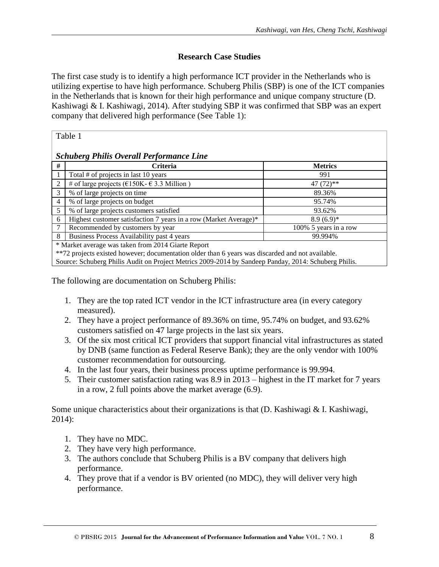# **Research Case Studies**

The first case study is to identify a high performance ICT provider in the Netherlands who is utilizing expertise to have high performance. Schuberg Philis (SBP) is one of the ICT companies in the Netherlands that is known for their high performance and unique company structure (D. Kashiwagi & I. Kashiwagi, 2014). After studying SBP it was confirmed that SBP was an expert company that delivered high performance (See Table 1):

| ۱<br>٠. |  |
|---------|--|
|         |  |

#### *Schuberg Philis Overall Performance Line*

| #                                                                                                | <b>Criteria</b>                                                  | <b>Metrics</b>        |  |  |
|--------------------------------------------------------------------------------------------------|------------------------------------------------------------------|-----------------------|--|--|
|                                                                                                  | Total # of projects in last 10 years                             | 991                   |  |  |
| 2                                                                                                | # of large projects ( $\epsilon$ 150K- $\epsilon$ 3.3 Million)   | $47(72)$ **           |  |  |
|                                                                                                  | % of large projects on time                                      | 89.36%                |  |  |
| $\overline{4}$                                                                                   | % of large projects on budget                                    | 95.74%                |  |  |
| 5                                                                                                | % of large projects customers satisfied                          | 93.62%                |  |  |
| 6                                                                                                | Highest customer satisfaction 7 years in a row (Market Average)* | $8.9(6.9)*$           |  |  |
|                                                                                                  | Recommended by customers by year                                 | 100% 5 years in a row |  |  |
| 8                                                                                                | Business Process Availability past 4 years                       | 99.994%               |  |  |
| * Market average was taken from 2014 Giarte Report                                               |                                                                  |                       |  |  |
| **72 projects existed however: documentation older than 6 years was discarded and not available. |                                                                  |                       |  |  |

Source: Schuberg Philis Audit on Project Metrics 2009-2014 by Sandeep Panday, 2014: Schuberg Philis.

The following are documentation on Schuberg Philis:

- 1. They are the top rated ICT vendor in the ICT infrastructure area (in every category measured).
- 2. They have a project performance of 89.36% on time, 95.74% on budget, and 93.62% customers satisfied on 47 large projects in the last six years.
- 3. Of the six most critical ICT providers that support financial vital infrastructures as stated by DNB (same function as Federal Reserve Bank); they are the only vendor with 100% customer recommendation for outsourcing.
- 4. In the last four years, their business process uptime performance is 99.994.
- 5. Their customer satisfaction rating was 8.9 in 2013 highest in the IT market for 7 years in a row, 2 full points above the market average (6.9).

Some unique characteristics about their organizations is that  $(D.$  Kashiwagi  $\&$  I. Kashiwagi, 2014):

- 1. They have no MDC.
- 2. They have very high performance.
- 3. The authors conclude that Schuberg Philis is a BV company that delivers high performance.
- 4. They prove that if a vendor is BV oriented (no MDC), they will deliver very high performance.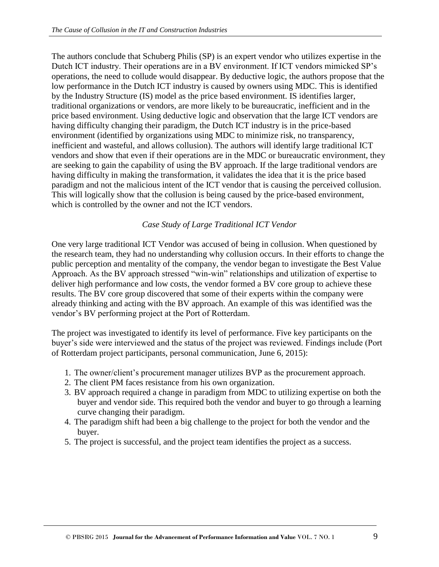The authors conclude that Schuberg Philis (SP) is an expert vendor who utilizes expertise in the Dutch ICT industry. Their operations are in a BV environment. If ICT vendors mimicked SP's operations, the need to collude would disappear. By deductive logic, the authors propose that the low performance in the Dutch ICT industry is caused by owners using MDC. This is identified by the Industry Structure (IS) model as the price based environment. IS identifies larger, traditional organizations or vendors, are more likely to be bureaucratic, inefficient and in the price based environment. Using deductive logic and observation that the large ICT vendors are having difficulty changing their paradigm, the Dutch ICT industry is in the price-based environment (identified by organizations using MDC to minimize risk, no transparency, inefficient and wasteful, and allows collusion). The authors will identify large traditional ICT vendors and show that even if their operations are in the MDC or bureaucratic environment, they are seeking to gain the capability of using the BV approach. If the large traditional vendors are having difficulty in making the transformation, it validates the idea that it is the price based paradigm and not the malicious intent of the ICT vendor that is causing the perceived collusion. This will logically show that the collusion is being caused by the price-based environment, which is controlled by the owner and not the ICT vendors.

#### *Case Study of Large Traditional ICT Vendor*

One very large traditional ICT Vendor was accused of being in collusion. When questioned by the research team, they had no understanding why collusion occurs. In their efforts to change the public perception and mentality of the company, the vendor began to investigate the Best Value Approach. As the BV approach stressed "win-win" relationships and utilization of expertise to deliver high performance and low costs, the vendor formed a BV core group to achieve these results. The BV core group discovered that some of their experts within the company were already thinking and acting with the BV approach. An example of this was identified was the vendor's BV performing project at the Port of Rotterdam.

The project was investigated to identify its level of performance. Five key participants on the buyer's side were interviewed and the status of the project was reviewed. Findings include (Port of Rotterdam project participants, personal communication, June 6, 2015):

- 1. The owner/client's procurement manager utilizes BVP as the procurement approach.
- 2. The client PM faces resistance from his own organization.
- 3. BV approach required a change in paradigm from MDC to utilizing expertise on both the buyer and vendor side. This required both the vendor and buyer to go through a learning curve changing their paradigm.
- 4. The paradigm shift had been a big challenge to the project for both the vendor and the buyer.
- 5. The project is successful, and the project team identifies the project as a success.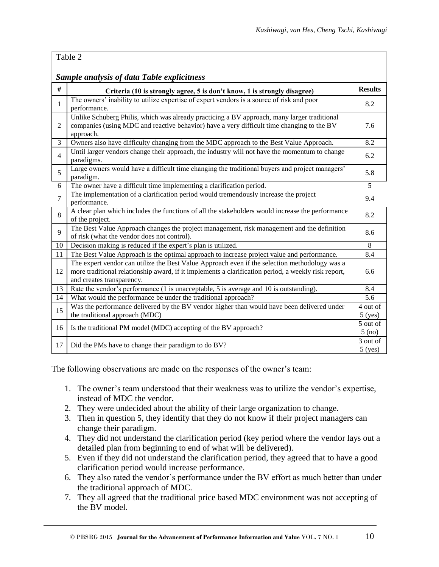#### Table 2

*Sample analysis of data Table explicitness*

|                | no anarysis of aana <b>x</b> abio capuointess                                                       |                |
|----------------|-----------------------------------------------------------------------------------------------------|----------------|
| #              | Criteria (10 is strongly agree, 5 is don't know, 1 is strongly disagree)                            | <b>Results</b> |
| $\mathbf{1}$   | The owners' inability to utilize expertise of expert vendors is a source of risk and poor           | 8.2            |
|                | performance.                                                                                        |                |
|                | Unlike Schuberg Philis, which was already practicing a BV approach, many larger traditional         |                |
| 2              | companies (using MDC and reactive behavior) have a very difficult time changing to the BV           | 7.6            |
|                | approach.                                                                                           |                |
| 3              | Owners also have difficulty changing from the MDC approach to the Best Value Approach.              | 8.2            |
| 4              | Until larger vendors change their approach, the industry will not have the momentum to change       | 6.2            |
|                | paradigms.                                                                                          |                |
| 5              | Large owners would have a difficult time changing the traditional buyers and project managers'      | 5.8            |
|                | paradigm.                                                                                           |                |
| 6              | The owner have a difficult time implementing a clarification period.                                | $\overline{5}$ |
| $\overline{7}$ | The implementation of a clarification period would tremendously increase the project                | 9.4            |
|                | performance.                                                                                        |                |
| 8              | A clear plan which includes the functions of all the stakeholders would increase the performance    | 8.2            |
|                | of the project.                                                                                     |                |
| $\mathbf Q$    | The Best Value Approach changes the project management, risk management and the definition          | 8.6            |
|                | of risk (what the vendor does not control).                                                         |                |
| 10             | Decision making is reduced if the expert's plan is utilized.                                        | 8              |
| 11             | The Best Value Approach is the optimal approach to increase project value and performance.          | 8.4            |
|                | The expert vendor can utilize the Best Value Approach even if the selection methodology was a       |                |
| 12             | more traditional relationship award, if it implements a clarification period, a weekly risk report, | 6.6            |
|                | and creates transparency.                                                                           |                |
| 13             | Rate the vendor's performance (1 is unacceptable, 5 is average and 10 is outstanding).              | 8.4            |
| 14             | What would the performance be under the traditional approach?                                       | 5.6            |
| 15             | Was the performance delivered by the BV vendor higher than would have been delivered under          | 4 out of       |
|                | the traditional approach (MDC)                                                                      | $5$ (yes)      |
| 16             | Is the traditional PM model (MDC) accepting of the BV approach?                                     |                |
|                |                                                                                                     | $5$ (no)       |
| 17             | Did the PMs have to change their paradigm to do BV?                                                 | 3 out of       |
|                |                                                                                                     | $5$ (yes)      |

The following observations are made on the responses of the owner's team:

- 1. The owner's team understood that their weakness was to utilize the vendor's expertise, instead of MDC the vendor.
- 2. They were undecided about the ability of their large organization to change.
- 3. Then in question 5, they identify that they do not know if their project managers can change their paradigm.
- 4. They did not understand the clarification period (key period where the vendor lays out a detailed plan from beginning to end of what will be delivered).
- 5. Even if they did not understand the clarification period, they agreed that to have a good clarification period would increase performance.
- 6. They also rated the vendor's performance under the BV effort as much better than under the traditional approach of MDC.
- 7. They all agreed that the traditional price based MDC environment was not accepting of the BV model.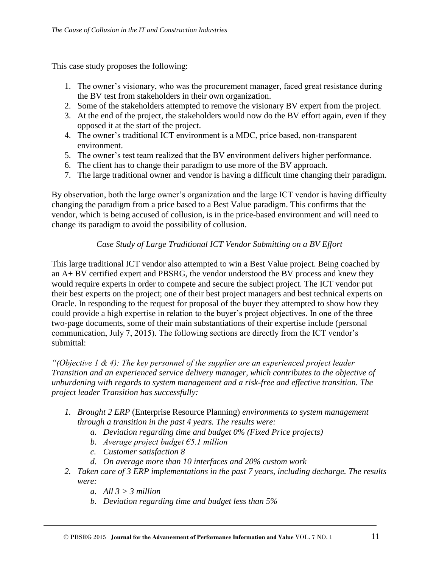This case study proposes the following:

- 1. The owner's visionary, who was the procurement manager, faced great resistance during the BV test from stakeholders in their own organization.
- 2. Some of the stakeholders attempted to remove the visionary BV expert from the project.
- 3. At the end of the project, the stakeholders would now do the BV effort again, even if they opposed it at the start of the project.
- 4. The owner's traditional ICT environment is a MDC, price based, non-transparent environment.
- 5. The owner's test team realized that the BV environment delivers higher performance.
- 6. The client has to change their paradigm to use more of the BV approach.
- 7. The large traditional owner and vendor is having a difficult time changing their paradigm.

By observation, both the large owner's organization and the large ICT vendor is having difficulty changing the paradigm from a price based to a Best Value paradigm. This confirms that the vendor, which is being accused of collusion, is in the price-based environment and will need to change its paradigm to avoid the possibility of collusion.

#### *Case Study of Large Traditional ICT Vendor Submitting on a BV Effort*

This large traditional ICT vendor also attempted to win a Best Value project. Being coached by an A+ BV certified expert and PBSRG, the vendor understood the BV process and knew they would require experts in order to compete and secure the subject project. The ICT vendor put their best experts on the project; one of their best project managers and best technical experts on Oracle. In responding to the request for proposal of the buyer they attempted to show how they could provide a high expertise in relation to the buyer's project objectives. In one of the three two-page documents, some of their main substantiations of their expertise include (personal communication, July 7, 2015). The following sections are directly from the ICT vendor's submittal:

*"(Objective 1 & 4): The key personnel of the supplier are an experienced project leader Transition and an experienced service delivery manager, which contributes to the objective of unburdening with regards to system management and a risk-free and effective transition. The project leader Transition has successfully:* 

- *1. Brought 2 ERP* (Enterprise Resource Planning) *environments to system management through a transition in the past 4 years. The results were:*
	- *a. Deviation regarding time and budget 0% (Fixed Price projects)*
	- *b. Average project budget €5.1 million*
	- *c. Customer satisfaction 8*
	- *d. On average more than 10 interfaces and 20% custom work*
- *2. Taken care of 3 ERP implementations in the past 7 years, including decharge. The results were:*
	- *a. All 3 > 3 million*
	- *b. Deviation regarding time and budget less than 5%*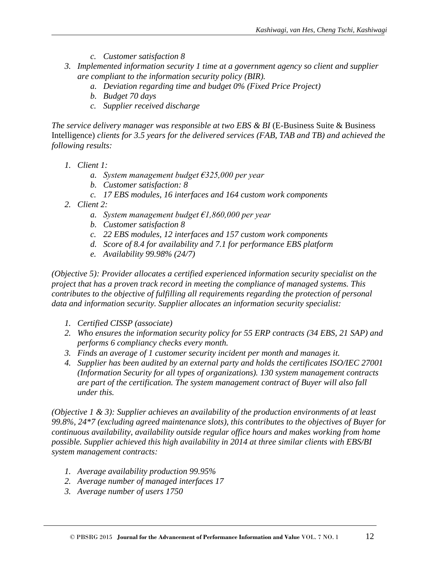- *c. Customer satisfaction 8*
- *3. Implemented information security 1 time at a government agency so client and supplier are compliant to the information security policy (BIR).*
	- *a. Deviation regarding time and budget 0% (Fixed Price Project)*
	- *b. Budget 70 days*
	- *c. Supplier received discharge*

*The service delivery manager was responsible at two EBS & BI (E-Business Suite & Business* Intelligence) *clients for 3.5 years for the delivered services (FAB, TAB and TB) and achieved the following results:* 

- *1. Client 1:* 
	- *a. System management budget €325,000 per year*
	- *b. Customer satisfaction: 8*
	- *c. 17 EBS modules, 16 interfaces and 164 custom work components*
- *2. Client 2:* 
	- *a. System management budget €1,860,000 per year*
	- *b. Customer satisfaction 8*
	- *c. 22 EBS modules, 12 interfaces and 157 custom work components*
	- *d. Score of 8.4 for availability and 7.1 for performance EBS platform*
	- *e. Availability 99.98% (24/7)*

*(Objective 5): Provider allocates a certified experienced information security specialist on the project that has a proven track record in meeting the compliance of managed systems. This contributes to the objective of fulfilling all requirements regarding the protection of personal data and information security. Supplier allocates an information security specialist:*

- *1. Certified CISSP (associate)*
- *2. Who ensures the information security policy for 55 ERP contracts (34 EBS, 21 SAP) and performs 6 compliancy checks every month.*
- *3. Finds an average of 1 customer security incident per month and manages it.*
- *4. Supplier has been audited by an external party and holds the certificates ISO/IEC 27001 (Information Security for all types of organizations). 130 system management contracts are part of the certification. The system management contract of Buyer will also fall under this.*

*(Objective 1 & 3): Supplier achieves an availability of the production environments of at least 99.8%, 24\*7 (excluding agreed maintenance slots), this contributes to the objectives of Buyer for continuous availability, availability outside regular office hours and makes working from home possible. Supplier achieved this high availability in 2014 at three similar clients with EBS/BI system management contracts:*

- *1. Average availability production 99.95%*
- *2. Average number of managed interfaces 17*
- *3. Average number of users 1750*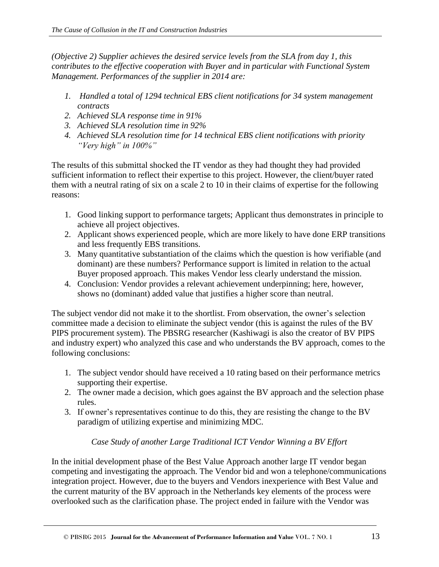*(Objective 2) Supplier achieves the desired service levels from the SLA from day 1, this contributes to the effective cooperation with Buyer and in particular with Functional System Management. Performances of the supplier in 2014 are:*

- *1. Handled a total of 1294 technical EBS client notifications for 34 system management contracts*
- *2. Achieved SLA response time in 91%*
- *3. Achieved SLA resolution time in 92%*
- *4. Achieved SLA resolution time for 14 technical EBS client notifications with priority "Very high" in 100%"*

The results of this submittal shocked the IT vendor as they had thought they had provided sufficient information to reflect their expertise to this project. However, the client/buyer rated them with a neutral rating of six on a scale 2 to 10 in their claims of expertise for the following reasons:

- 1. Good linking support to performance targets; Applicant thus demonstrates in principle to achieve all project objectives.
- 2. Applicant shows experienced people, which are more likely to have done ERP transitions and less frequently EBS transitions.
- 3. Many quantitative substantiation of the claims which the question is how verifiable (and dominant) are these numbers? Performance support is limited in relation to the actual Buyer proposed approach. This makes Vendor less clearly understand the mission.
- 4. Conclusion: Vendor provides a relevant achievement underpinning; here, however, shows no (dominant) added value that justifies a higher score than neutral.

The subject vendor did not make it to the shortlist. From observation, the owner's selection committee made a decision to eliminate the subject vendor (this is against the rules of the BV PIPS procurement system). The PBSRG researcher (Kashiwagi is also the creator of BV PIPS and industry expert) who analyzed this case and who understands the BV approach, comes to the following conclusions:

- 1. The subject vendor should have received a 10 rating based on their performance metrics supporting their expertise.
- 2. The owner made a decision, which goes against the BV approach and the selection phase rules.
- 3. If owner's representatives continue to do this, they are resisting the change to the BV paradigm of utilizing expertise and minimizing MDC.

# *Case Study of another Large Traditional ICT Vendor Winning a BV Effort*

In the initial development phase of the Best Value Approach another large IT vendor began competing and investigating the approach. The Vendor bid and won a telephone/communications integration project. However, due to the buyers and Vendors inexperience with Best Value and the current maturity of the BV approach in the Netherlands key elements of the process were overlooked such as the clarification phase. The project ended in failure with the Vendor was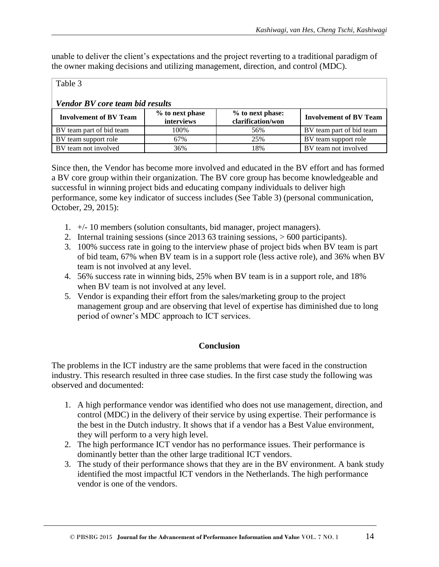unable to deliver the client's expectations and the project reverting to a traditional paradigm of the owner making decisions and utilizing management, direction, and control (MDC).

#### Table 3

# *Vendor BV core team bid results*

| <b>Involvement of BV Team</b> | % to next phase<br><i>interviews</i> | % to next phase:<br>clarification/won | <b>Involvement of BV Team</b> |
|-------------------------------|--------------------------------------|---------------------------------------|-------------------------------|
| BV team part of bid team      | 100%                                 | 56%                                   | BV team part of bid team      |
| BV team support role          | 67%                                  | 25%                                   | BV team support role          |
| BV team not involved          | 36%                                  | 18%                                   | BV team not involved          |

Since then, the Vendor has become more involved and educated in the BV effort and has formed a BV core group within their organization. The BV core group has become knowledgeable and successful in winning project bids and educating company individuals to deliver high performance, some key indicator of success includes (See Table 3) (personal communication, October, 29, 2015):

- 1. +/- 10 members (solution consultants, bid manager, project managers).
- 2. Internal training sessions (since 2013 63 training sessions, > 600 participants).
- 3. 100% success rate in going to the interview phase of project bids when BV team is part of bid team, 67% when BV team is in a support role (less active role), and 36% when BV team is not involved at any level.
- 4. 56% success rate in winning bids, 25% when BV team is in a support role, and 18% when BV team is not involved at any level.
- 5. Vendor is expanding their effort from the sales/marketing group to the project management group and are observing that level of expertise has diminished due to long period of owner's MDC approach to ICT services.

#### **Conclusion**

The problems in the ICT industry are the same problems that were faced in the construction industry. This research resulted in three case studies. In the first case study the following was observed and documented:

- 1. A high performance vendor was identified who does not use management, direction, and control (MDC) in the delivery of their service by using expertise. Their performance is the best in the Dutch industry. It shows that if a vendor has a Best Value environment, they will perform to a very high level.
- 2. The high performance ICT vendor has no performance issues. Their performance is dominantly better than the other large traditional ICT vendors.
- 3. The study of their performance shows that they are in the BV environment. A bank study identified the most impactful ICT vendors in the Netherlands. The high performance vendor is one of the vendors.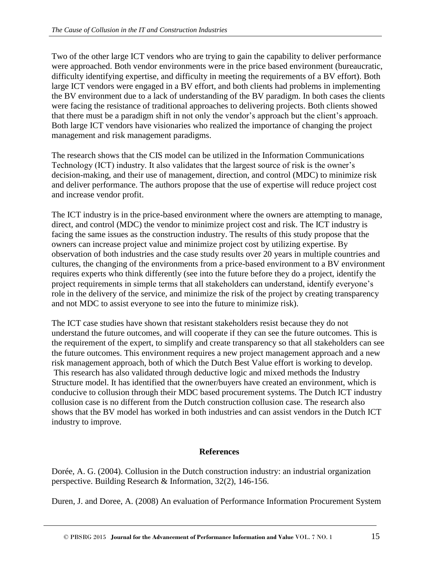Two of the other large ICT vendors who are trying to gain the capability to deliver performance were approached. Both vendor environments were in the price based environment (bureaucratic, difficulty identifying expertise, and difficulty in meeting the requirements of a BV effort). Both large ICT vendors were engaged in a BV effort, and both clients had problems in implementing the BV environment due to a lack of understanding of the BV paradigm. In both cases the clients were facing the resistance of traditional approaches to delivering projects. Both clients showed that there must be a paradigm shift in not only the vendor's approach but the client's approach. Both large ICT vendors have visionaries who realized the importance of changing the project management and risk management paradigms.

The research shows that the CIS model can be utilized in the Information Communications Technology (ICT) industry. It also validates that the largest source of risk is the owner's decision-making, and their use of management, direction, and control (MDC) to minimize risk and deliver performance. The authors propose that the use of expertise will reduce project cost and increase vendor profit.

The ICT industry is in the price-based environment where the owners are attempting to manage, direct, and control (MDC) the vendor to minimize project cost and risk. The ICT industry is facing the same issues as the construction industry. The results of this study propose that the owners can increase project value and minimize project cost by utilizing expertise. By observation of both industries and the case study results over 20 years in multiple countries and cultures, the changing of the environments from a price-based environment to a BV environment requires experts who think differently (see into the future before they do a project, identify the project requirements in simple terms that all stakeholders can understand, identify everyone's role in the delivery of the service, and minimize the risk of the project by creating transparency and not MDC to assist everyone to see into the future to minimize risk).

The ICT case studies have shown that resistant stakeholders resist because they do not understand the future outcomes, and will cooperate if they can see the future outcomes. This is the requirement of the expert, to simplify and create transparency so that all stakeholders can see the future outcomes. This environment requires a new project management approach and a new risk management approach, both of which the Dutch Best Value effort is working to develop. This research has also validated through deductive logic and mixed methods the Industry Structure model. It has identified that the owner/buyers have created an environment, which is conducive to collusion through their MDC based procurement systems. The Dutch ICT industry collusion case is no different from the Dutch construction collusion case. The research also shows that the BV model has worked in both industries and can assist vendors in the Dutch ICT industry to improve.

#### **References**

Dorée, A. G. (2004). Collusion in the Dutch construction industry: an industrial organization perspective. Building Research & Information, 32(2), 146-156.

Duren, J. and Doree, A. (2008) An evaluation of Performance Information Procurement System